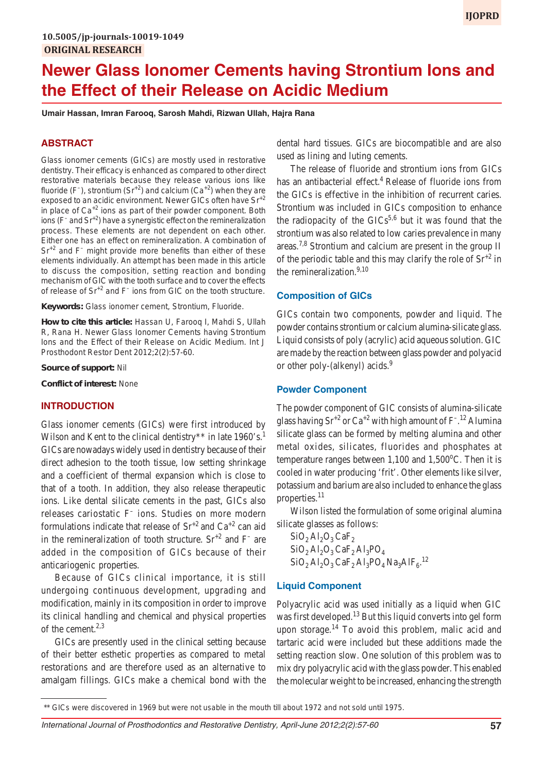# **Newer Glass Ionomer Cements having Strontium Ions and the Effect of their Release on Acidic Medium**

**Umair Hassan, Imran Farooq, Sarosh Mahdi, Rizwan Ullah, Hajra Rana**

## **ABSTRACT**

Glass ionomer cements (GICs) are mostly used in restorative dentistry. Their efficacy is enhanced as compared to other direct restorative materials because they release various ions like fluoride (F<sup>-</sup>), strontium (Sr<sup>+2</sup>) and calcium (Ca<sup>+2</sup>) when they are exposed to an acidic environment. Newer GICs often have Sr<sup>+2</sup> in place of  $Ca^{+2}$  ions as part of their powder component. Both ions (F<sup>-</sup> and Sr<sup>+2</sup>) have a synergistic effect on the remineralization process. These elements are not dependent on each other. Either one has an effect on remineralization. A combination of Sr<sup>+2</sup> and F<sup>-</sup> might provide more benefits than either of these elements individually. An attempt has been made in this article to discuss the composition, setting reaction and bonding mechanism of GIC with the tooth surface and to cover the effects of release of Sr<sup>+2</sup> and F<sup>-</sup> ions from GIC on the tooth structure.

**Keywords:** Glass ionomer cement, Strontium, Fluoride.

**How to cite this article:** Hassan U, Farooq I, Mahdi S, Ullah R, Rana H. Newer Glass Ionomer Cements having Strontium Ions and the Effect of their Release on Acidic Medium. Int J Prosthodont Restor Dent 2012;2(2):57-60.

**Source of support:** Nil

**Conflict of interest:** None

#### **INTRODUCTION**

Glass ionomer cements (GICs) were first introduced by Wilson and Kent to the clinical dentistry  $*$  in late 1960's.<sup>1</sup> GICs are nowadays widely used in dentistry because of their direct adhesion to the tooth tissue, low setting shrinkage and a coefficient of thermal expansion which is close to that of a tooth. In addition, they also release therapeutic ions. Like dental silicate cements in the past, GICs also releases cariostatic F– ions. Studies on more modern formulations indicate that release of  $\text{Sr}^{+2}$  and  $\text{Ca}^{+2}$  can aid in the remineralization of tooth structure.  $Sr^{+2}$  and  $F^{-}$  are added in the composition of GICs because of their anticariogenic properties.

Because of GICs clinical importance, it is still undergoing continuous development, upgrading and modification, mainly in its composition in order to improve its clinical handling and chemical and physical properties of the cement.<sup>2,3</sup>

GICs are presently used in the clinical setting because of their better esthetic properties as compared to metal restorations and are therefore used as an alternative to amalgam fillings. GICs make a chemical bond with the dental hard tissues. GICs are biocompatible and are also used as lining and luting cements.

The release of fluoride and strontium ions from GICs has an antibacterial effect.<sup>4</sup> Release of fluoride ions from the GICs is effective in the inhibition of recurrent caries. Strontium was included in GICs composition to enhance the radiopacity of the  $GICs^{5,6}$  but it was found that the strontium was also related to low caries prevalence in many areas.<sup>7,8</sup> Strontium and calcium are present in the group II of the periodic table and this may clarify the role of  $\text{Sr}^{+2}$  in the remineralization. $9,10$ 

#### **Composition of GICs**

GICs contain two components, powder and liquid. The powder contains strontium or calcium alumina-silicate glass. Liquid consists of poly (acrylic) acid aqueous solution. GIC are made by the reaction between glass powder and polyacid or other poly-(alkenyl) acids.<sup>9</sup>

#### **Powder Component**

The powder component of GIC consists of alumina-silicate glass having  $\text{Sr}^{+2}$  or  $\text{Ca}^{+2}$  with high amount of F<sup>-12</sup> Alumina silicate glass can be formed by melting alumina and other metal oxides, silicates, fluorides and phosphates at temperature ranges between  $1,100$  and  $1,500$ <sup>o</sup>C. Then it is cooled in water producing 'frit'. Other elements like silver, potassium and barium are also included to enhance the glass properties.<sup>11</sup>

Wilson listed the formulation of some original alumina silicate glasses as follows:

 $SiO<sub>2</sub>Al<sub>2</sub>O<sub>3</sub> CaF<sub>2</sub>$  $SiO<sub>2</sub>Al<sub>2</sub>O<sub>3</sub> CaF<sub>2</sub>Al<sub>3</sub>PO<sub>4</sub>$  $SiO<sub>2</sub> Al<sub>2</sub>O<sub>3</sub> CaF<sub>2</sub> Al<sub>3</sub>PO<sub>4</sub> Na<sub>3</sub>AlF<sub>6</sub>.<sup>12</sup>$ 

## **Liquid Component**

Polyacrylic acid was used initially as a liquid when GIC was first developed.<sup>13</sup> But this liquid converts into gel form upon storage.<sup>14</sup> To avoid this problem, malic acid and tartaric acid were included but these additions made the setting reaction slow. One solution of this problem was to mix dry polyacrylic acid with the glass powder. This enabled the molecular weight to be increased, enhancing the strength

<sup>\*\*</sup> GICs were discovered in 1969 but were not usable in the mouth till about 1972 and not sold until 1975.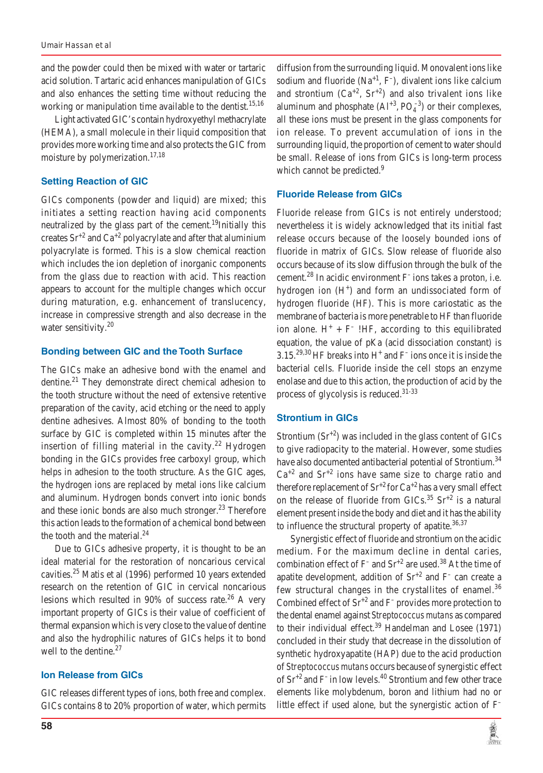and the powder could then be mixed with water or tartaric acid solution. Tartaric acid enhances manipulation of GICs and also enhances the setting time without reducing the working or manipulation time available to the dentist.<sup>15,16</sup>

Light activated GIC's contain hydroxyethyl methacrylate (HEMA), a small molecule in their liquid composition that provides more working time and also protects the GIC from moisture by polymerization.<sup>17,18</sup>

## **Setting Reaction of GIC**

GICs components (powder and liquid) are mixed; this initiates a setting reaction having acid components neutralized by the glass part of the cement.<sup>19</sup>Initially this creates  $Sr^{+2}$  and  $Ca^{+2}$  polyacrylate and after that aluminium polyacrylate is formed. This is a slow chemical reaction which includes the ion depletion of inorganic components from the glass due to reaction with acid. This reaction appears to account for the multiple changes which occur during maturation, e.g. enhancement of translucency, increase in compressive strength and also decrease in the water sensitivity.<sup>20</sup>

## **Bonding between GIC and the Tooth Surface**

The GICs make an adhesive bond with the enamel and dentine.<sup>21</sup> They demonstrate direct chemical adhesion to the tooth structure without the need of extensive retentive preparation of the cavity, acid etching or the need to apply dentine adhesives. Almost 80% of bonding to the tooth surface by GIC is completed within 15 minutes after the insertion of filling material in the cavity.<sup>22</sup> Hydrogen bonding in the GICs provides free carboxyl group, which helps in adhesion to the tooth structure. As the GIC ages, the hydrogen ions are replaced by metal ions like calcium and aluminum. Hydrogen bonds convert into ionic bonds and these ionic bonds are also much stronger. $^{23}$  Therefore this action leads to the formation of a chemical bond between the tooth and the material. $^{24}$ 

Due to GICs adhesive property, it is thought to be an ideal material for the restoration of noncarious cervical cavities.25 Matis et al (1996) performed 10 years extended research on the retention of GIC in cervical noncarious lesions which resulted in 90% of success rate.<sup>26</sup> A very important property of GICs is their value of coefficient of thermal expansion which is very close to the value of dentine and also the hydrophilic natures of GICs helps it to bond well to the dentine. $27$ 

## **Ion Release from GICs**

GIC releases different types of ions, both free and complex. GICs contains 8 to 20% proportion of water, which permits

diffusion from the surrounding liquid. Monovalent ions like sodium and fluoride  $(Na^{+1}, F^{-})$ , divalent ions like calcium and strontium  $(Ca^{+2}, Sr^{+2})$  and also trivalent ions like aluminum and phosphate  $(Al^{+3}, PO_4^{-3})$  or their complexes, all these ions must be present in the glass components for ion release. To prevent accumulation of ions in the surrounding liquid, the proportion of cement to water should be small. Release of ions from GICs is long-term process which cannot be predicted.<sup>9</sup>

## **Fluoride Release from GICs**

Fluoride release from GICs is not entirely understood; nevertheless it is widely acknowledged that its initial fast release occurs because of the loosely bounded ions of fluoride in matrix of GICs. Slow release of fluoride also occurs because of its slow diffusion through the bulk of the cement.<sup>28</sup> In acidic environment  $F$  ions takes a proton, i.e. hydrogen ion  $(H<sup>+</sup>)$  and form an undissociated form of hydrogen fluoride (HF). This is more cariostatic as the membrane of bacteria is more penetrable to HF than fluoride ion alone.  $H^+ + F^-$  !HF, according to this equilibrated equation, the value of pKa (acid dissociation constant) is 3.15.<sup>29,30</sup> HF breaks into H<sup>+</sup> and F<sup>-</sup> ions once it is inside the bacterial cells. Fluoride inside the cell stops an enzyme enolase and due to this action, the production of acid by the process of glycolysis is reduced. $31-33$ 

## **Strontium in GICs**

Strontium  $(Sr^{2})$  was included in the glass content of GICs to give radiopacity to the material. However, some studies have also documented antibacterial potential of Strontium.<sup>34</sup>  $Ca^{+2}$  and  $Sr^{+2}$  ions have same size to charge ratio and therefore replacement of  $Sr^{+2}$  for  $Ca^{+2}$  has a very small effect on the release of fluoride from GICs.<sup>35</sup> Sr<sup>+2</sup> is a natural element present inside the body and diet and it has the ability to influence the structural property of apatite. $36,37$ 

Synergistic effect of fluoride and strontium on the acidic medium. For the maximum decline in dental caries, combination effect of  $F^-$  and  $Sr^{+2}$  are used.<sup>38</sup> At the time of apatite development, addition of  $Sr^{+2}$  and  $F^-$  can create a few structural changes in the crystallites of enamel.<sup>36</sup> Combined effect of  $Sr^{+2}$  and F<sup>–</sup> provides more protection to the dental enamel against *Streptococcus mutans* as compared to their individual effect.<sup>39</sup> Handelman and Losee  $(1971)$ concluded in their study that decrease in the dissolution of synthetic hydroxyapatite (HAP) due to the acid production of *Streptococcus mutans* occurs because of synergistic effect of  $\text{Sr}^{+2}$  and F<sup>-</sup> in low levels.<sup>40</sup> Strontium and few other trace elements like molybdenum, boron and lithium had no or little effect if used alone, but the synergistic action of F–

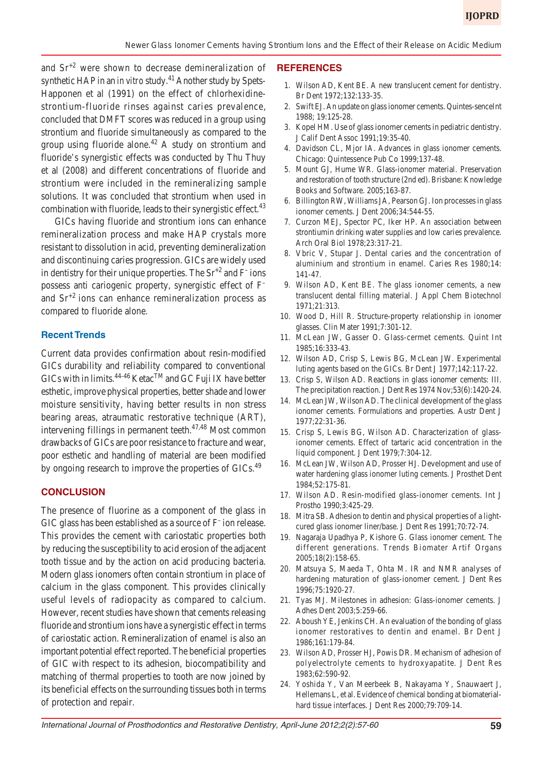and  $Sr<sup>+2</sup>$  were shown to decrease demineralization of synthetic HAP in an *in vitro* study.<sup>41</sup> Another study by Spets-Happonen et al (1991) on the effect of chlorhexidinestrontium-fluoride rinses against caries prevalence, concluded that DMFT scores was reduced in a group using strontium and fluoride simultaneously as compared to the group using fluoride alone.<sup>42</sup> A study on strontium and fluoride's synergistic effects was conducted by Thu Thuy et al (2008) and different concentrations of fluoride and strontium were included in the remineralizing sample solutions. It was concluded that strontium when used in combination with fluoride, leads to their synergistic effect.<sup>43</sup>

GICs having fluoride and strontium ions can enhance remineralization process and make HAP crystals more resistant to dissolution in acid, preventing demineralization and discontinuing caries progression. GICs are widely used in dentistry for their unique properties. The  $Sr^{+2}$  and  $F^-$ ions possess anti cariogenic property, synergistic effect of F– and  $Sr<sup>+2</sup>$  ions can enhance remineralization process as compared to fluoride alone.

#### **Recent Trends**

Current data provides confirmation about resin-modified GICs durability and reliability compared to conventional  $GICs$  with in limits.<sup>44-46</sup> Ketac<sup>TM</sup> and GC Fuji IX have better esthetic, improve physical properties, better shade and lower moisture sensitivity, having better results in non stress bearing areas, atraumatic restorative technique (ART), intervening fillings in permanent teeth.<sup>47,48</sup> Most common drawbacks of GICs are poor resistance to fracture and wear, poor esthetic and handling of material are been modified by ongoing research to improve the properties of GICs.<sup>49</sup>

#### **CONCLUSION**

The presence of fluorine as a component of the glass in GIC glass has been established as a source of  $F^-$  ion release. This provides the cement with cariostatic properties both by reducing the susceptibility to acid erosion of the adjacent tooth tissue and by the action on acid producing bacteria. Modern glass ionomers often contain strontium in place of calcium in the glass component. This provides clinically useful levels of radiopacity as compared to calcium. However, recent studies have shown that cements releasing fluoride and strontium ions have a synergistic effect in terms of cariostatic action. Remineralization of enamel is also an important potential effect reported. The beneficial properties of GIC with respect to its adhesion, biocompatibility and matching of thermal properties to tooth are now joined by its beneficial effects on the surrounding tissues both in terms of protection and repair.

#### **REFERENCES**

- 1. Wilson AD, Kent BE. A new translucent cement for dentistry. Br Dent 1972;132:133-35.
- 2. Swift EJ. An update on glass ionomer cements. Quintes-senceInt 1988; 19:125-28.
- 3. Kopel HM. Use of glass ionomer cements in pediatric dentistry. J Calif Dent Assoc 1991;19:35-40.
- 4. Davidson CL, Mjor IA. Advances in glass ionomer cements. Chicago: Quintessence Pub Co 1999;137-48.
- 5. Mount GJ, Hume WR. Glass-ionomer material. Preservation and restoration of tooth structure (2nd ed). Brisbane: Knowledge Books and Software. 2005;163-87.
- 6. Billington RW, Williams JA, Pearson GJ. Ion processes in glass ionomer cements. J Dent 2006;34:544-55.
- 7. Curzon MEJ, Spector PC, Iker HP. An association between strontiumin drinking water supplies and low caries prevalence. Arch Oral Biol 1978;23:317-21.
- 8. Vbric V, Stupar J. Dental caries and the concentration of aluminium and strontium in enamel. Caries Res 1980;14: 141-47.
- 9. Wilson AD, Kent BE. The glass ionomer cements, a new translucent dental filling material. J Appl Chem Biotechnol 1971;21:313.
- 10. Wood D, Hill R. Structure-property relationship in ionomer glasses. Clin Mater 1991;7:301-12.
- 11. McLean JW, Gasser O. Glass-cermet cements. Quint Int 1985;16:333-43.
- 12. Wilson AD, Crisp S, Lewis BG, McLean JW. Experimental luting agents based on the GICs. Br Dent J 1977;142:117-22.
- 13. Crisp S, Wilson AD. Reactions in glass ionomer cements: III. The precipitation reaction. J Dent Res 1974 Nov;53(6):1420-24.
- 14. McLean JW, Wilson AD. The clinical development of the glass ionomer cements. Formulations and properties. Austr Dent J 1977;22:31-36.
- 15. Crisp S, Lewis BG, Wilson AD. Characterization of glassionomer cements. Effect of tartaric acid concentration in the liquid component. J Dent 1979;7:304-12.
- 16. McLean JW, Wilson AD, Prosser HJ. Development and use of water hardening glass ionomer luting cements. J Prosthet Dent 1984;52:175-81.
- 17. Wilson AD. Resin-modified glass-ionomer cements. Int J Prostho 1990;3:425-29.
- 18. Mitra SB. Adhesion to dentin and physical properties of a lightcured glass ionomer liner/base. J Dent Res 1991;70:72-74.
- 19. Nagaraja Upadhya P, Kishore G. Glass ionomer cement. The different generations. Trends Biomater Artif Organs 2005;18(2):158-65.
- 20. Matsuya S, Maeda T, Ohta M. IR and NMR analyses of hardening maturation of glass-ionomer cement. J Dent Res 1996;75:1920-27.
- 21. Tyas MJ. Milestones in adhesion: Glass-ionomer cements. J Adhes Dent 2003;5:259-66.
- 22. Aboush YE, Jenkins CH. An evaluation of the bonding of glass ionomer restoratives to dentin and enamel. Br Dent J 1986;161:179-84.
- 23. Wilson AD, Prosser HJ, Powis DR. Mechanism of adhesion of polyelectrolyte cements to hydroxyapatite. J Dent Res 1983;62:590-92.
- 24. Yoshida Y, Van Meerbeek B, Nakayama Y, Snauwaert J, Hellemans L, et al. Evidence of chemical bonding at biomaterialhard tissue interfaces. J Dent Res 2000;79:709-14.